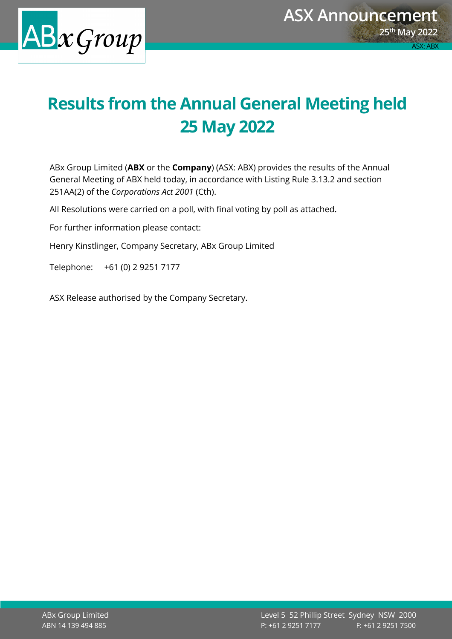

## **Results from the Annual General Meeting held 25 May 2022**

ABx Group Limited (**ABX** or the **Company**) (ASX: ABX) provides the results of the Annual General Meeting of ABX held today, in accordance with Listing Rule 3.13.2 and section 251AA(2) of the *Corporations Act 2001* (Cth).

All Resolutions were carried on a poll, with final voting by poll as attached.

For further information please contact:

Henry Kinstlinger, Company Secretary, ABx Group Limited

Telephone: +61 (0) 2 9251 7177

ASX Release authorised by the Company Secretary.